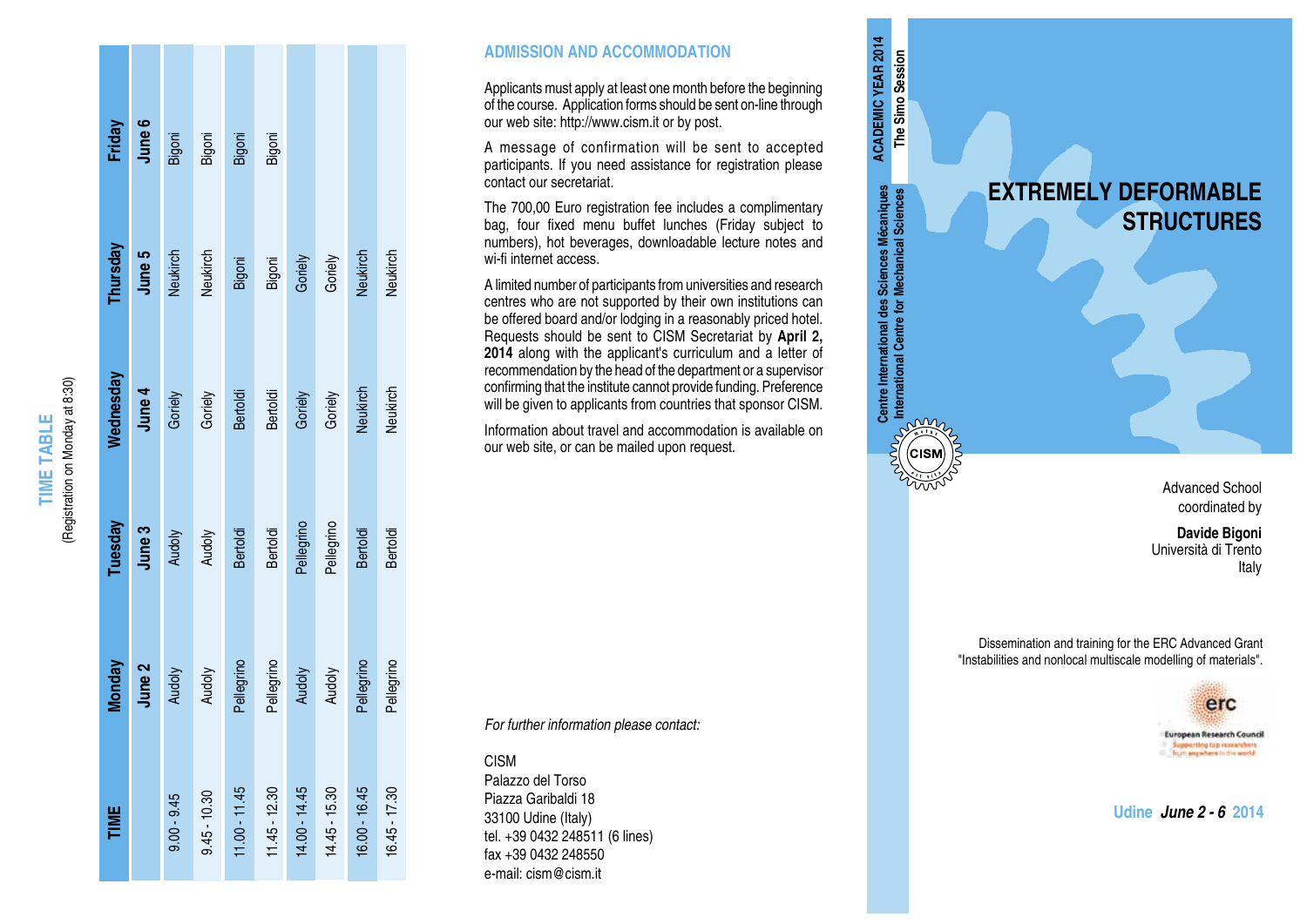| Friday           | June 6 | Bigoni        | Bigoni         | Bigoni          | Bigoni          |                 |                 |                 |                 |
|------------------|--------|---------------|----------------|-----------------|-----------------|-----------------|-----------------|-----------------|-----------------|
|                  |        |               |                |                 |                 |                 |                 |                 |                 |
| Thursday         | June 5 | Neukirch      | Neukirch       | Bigoni          | Bigoni          | Goriely         | Goriely         | Neukirch        | Neukirch        |
|                  |        |               |                |                 |                 |                 |                 |                 |                 |
| <b>Nednesday</b> | June 4 | Goriely       | Goriely        | <b>Bertoldi</b> | <b>Bertoldi</b> | Goriely         | Goriely         | Neukirch        | Neukirch        |
|                  |        |               |                |                 |                 |                 |                 |                 |                 |
| Tuesday          | June 3 | Audoly        | Audoly         | <b>Bertoldi</b> | <b>Bertoldi</b> | Pellegrino      | Pellegrino      | <b>Bertoldi</b> | <b>Bertoldi</b> |
|                  |        |               |                |                 |                 |                 |                 |                 |                 |
| Monday           | June 2 | Audoly        | Audoly         | Pellegrino      | Pellegrino      | Audoly          | Audoly          | Pellegrino      | Pellegrino      |
|                  |        |               |                |                 |                 |                 |                 |                 |                 |
| TIME             |        | $9.00 - 9.45$ | $9.45 - 10.30$ | $11.00 - 11.45$ | $11.45 - 12.30$ | $14.00 - 14.45$ | $14.45 - 15.30$ | 16.00 - 16.45   | $16.45 - 17.30$ |
|                  |        |               |                |                 |                 |                 |                 |                 |                 |

**TIME TABLE** (Registration on Monday at 8:30)

**TIME TABLE** 

(Registration on Monday at 8:30)

## **ADMISSION AND ACCOMMODATION**

Applicants must apply at least one month before the beginning of the course. Application forms should be sent on-line through our web site: http://www.cism.it or by post.

A message of confirmation will be sent to accepted participants. If you need assistance for registration please contact our secretariat.

The 700,00 Euro registration fee includes a complimentary bag, four fixed menu buffet lunches (Friday subject to numbers), hot beverages, downloadable lecture notes and wi-fi internet access.

A limited number of participants from universities and research centres who are not supported by their own institutions can be offered board and/or lodging in a reasonably priced hotel. Requests should be sent to CISM Secretariat by **April 2, 2014** along with the applicant's curriculum and a letter of recommendation by the head of the department or a supervisor confirming that the institute cannot provide funding. Preference will be given to applicants from countries that sponsor CISM.

**Centre International des Sciences Mécaniques International Centre for Mechanical Sciences**

Centre International des Sciences Mécaniques<br>International Centre for Mechanical Sciences

**E**<br>
E<br>
CISM

in 18

**ACADEMIC YEAR 2014 The Simo Session**

**ACADEMIC YEAR 2014** The Simo Session

Information about travel and accommodation is available on our web site, or can be mailed upon request.

*For further information please contact:*

CISM

Palazzo del Torso Piazza Garibaldi 18 33100 Udine (Italy) tel. +39 0432 248511 (6 lines) fax +39 0432 248550 e-mail: cism@cism.it



Advanced School coordinated by

**Davide Bigoni** Università di Trento Italy

Dissemination and training for the ERC Advanced Grant "Instabilities and nonlocal multiscale modelling of materials".



**Udine** *June 2 - 6* **2014**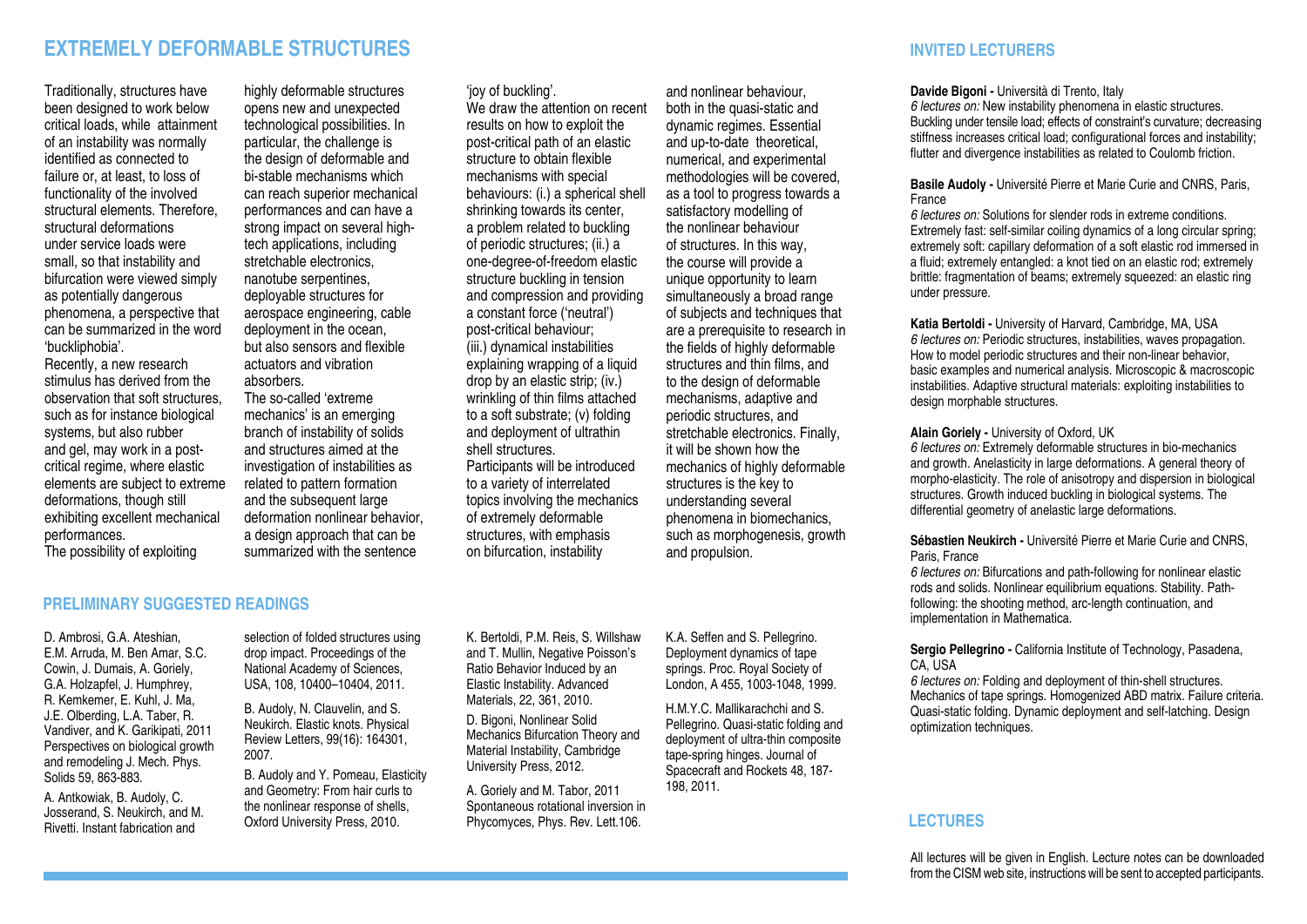# **EXTREMELY DEFORMABLE STRUCTURES INVITED LECTURERS**

Traditionally, structures have been designed to work below critical loads, while attainment of an instability was normally identified as connected to failure or, at least, to loss of functionality of the involved structural elements. Therefore, structural deformations under service loads were small, so that instability and bifurcation were viewed simply as potentially dangerous phenomena, a perspective that can be summarized in the word 'buckliphobia'.

Recently, a new research stimulus has derived from the observation that soft structures, such as for instance biological systems, but also rubber and gel, may work in a postcritical regime, where elastic elements are subject to extreme deformations, though still exhibiting excellent mechanical performances. The possibility of exploiting

highly deformable structures opens new and unexpected technological possibilities. In particular, the challenge is the design of deformable and bi-stable mechanisms which can reach superior mechanical performances and can have a strong impact on several hightech applications, including stretchable electronics, nanotube serpentines, deployable structures for aerospace engineering, cable deployment in the ocean, but also sensors and flexible actuators and vibration absorbers. The so-called 'extreme mechanics' is an emerging branch of instability of solids and structures aimed at the investigation of instabilities as related to pattern formation and the subsequent large deformation nonlinear behavior, a design approach that can be summarized with the sentence

## 'joy of buckling'.

We draw the attention on recent results on how to exploit the post-critical path of an elastic structure to obtain flexible mechanisms with special behaviours: (i.) a spherical shell shrinking towards its center. a problem related to buckling of periodic structures; (ii.) a one-degree-of-freedom elastic structure buckling in tension and compression and providing a constant force ('neutral') post-critical behaviour; (iii.) dynamical instabilities explaining wrapping of a liquid drop by an elastic strip; (iv.) wrinkling of thin films attached to a soft substrate; (v) folding and deployment of ultrathin shell structures. Participants will be introduced to a variety of interrelated topics involving the mechanics of extremely deformable structures, with emphasis on bifurcation, instability

and nonlinear behaviour, both in the quasi-static and dynamic regimes. Essential and up-to-date theoretical, numerical, and experimental methodologies will be covered, as a tool to progress towards a satisfactory modelling of the nonlinear behaviour of structures. In this way, the course will provide a unique opportunity to learn simultaneously a broad range of subjects and techniques that are a prerequisite to research in the fields of highly deformable structures and thin films, and to the design of deformable mechanisms, adaptive and periodic structures, and stretchable electronics. Finally, it will be shown how the mechanics of highly deformable structures is the key to understanding several phenomena in biomechanics, such as morphogenesis, growth and propulsion.

# **PRELIMINARY SUGGESTED READINGS**

D. Ambrosi, G.A. Ateshian E.M. Arruda, M. Ben Amar, S.C. Cowin, J. Dumais, A. Goriely, G.A. Holzapfel, J. Humphrey, R. Kemkemer, E. Kuhl, J. Ma, J.E. Olberding, L.A. Taber, R. Vandiver, and K. Garikipati, 2011 Perspectives on biological growth and remodeling J. Mech. Phys. Solids 59, 863-883.

A. Antkowiak, B. Audoly, C. Josserand, S. Neukirch, and M. Rivetti. Instant fabrication and

selection of folded structures using drop impact. Proceedings of the National Academy of Sciences, USA, 108, 10400–10404, 2011.

B. Audoly, N. Clauvelin, and S. Neukirch. Elastic knots. Physical Review Letters, 99(16): 164301, 2007.

B. Audoly and Y. Pomeau, Elasticity and Geometry: From hair curls to the nonlinear response of shells, Oxford University Press, 2010.

K. Bertoldi, P.M. Reis, S. Willshaw and T. Mullin, Negative Poisson's Ratio Behavior Induced by an Elastic Instability. Advanced Materials, 22, 361, 2010.

D. Bigoni, Nonlinear Solid Mechanics Bifurcation Theory and Material Instability, Cambridge University Press, 2012.

A. Goriely and M. Tabor, 2011 Spontaneous rotational inversion in Phycomyces, Phys. Rev. Lett.106.

K.A. Seffen and S. Pellegrino. Deployment dynamics of tape springs. Proc. Royal Society of London, A 455, 1003-1048, 1999.

H.M.Y.C. Mallikarachchi and S. Pellegrino. Quasi-static folding and deployment of ultra-thin composite tape-spring hinges. Journal of Spacecraft and Rockets 48, 187- 198, 2011.

### **Davide Bigoni -** Università di Trento, Italy

*6 lectures on:* New instability phenomena in elastic structures. Buckling under tensile load; effects of constraint's curvature; decreasing stiffness increases critical load; configurational forces and instability; flutter and divergence instabilities as related to Coulomb friction.

#### **Basile Audoly -** Université Pierre et Marie Curie and CNRS, Paris, France

*6 lectures on:* Solutions for slender rods in extreme conditions. Extremely fast: self-similar coiling dynamics of a long circular spring; extremely soft: capillary deformation of a soft elastic rod immersed in a fluid; extremely entangled: a knot tied on an elastic rod; extremely brittle: fragmentation of beams; extremely squeezed: an elastic ring under pressure.

**Katia Bertoldi -** University of Harvard, Cambridge, MA, USA *6 lectures on:* Periodic structures, instabilities, waves propagation. How to model periodic structures and their non-linear behavior, basic examples and numerical analysis. Microscopic & macroscopic instabilities. Adaptive structural materials: exploiting instabilities to design morphable structures.

#### **Alain Goriely -** University of Oxford, UK

*6 lectures on:* Extremely deformable structures in bio-mechanics and growth. Anelasticity in large deformations. A general theory of morpho-elasticity. The role of anisotropy and dispersion in biological structures. Growth induced buckling in biological systems. The differential geometry of anelastic large deformations.

### **Sébastien Neukirch -** Université Pierre et Marie Curie and CNRS, Paris, France

*6 lectures on:* Bifurcations and path-following for nonlinear elastic rods and solids. Nonlinear equilibrium equations. Stability. Pathfollowing: the shooting method, arc-length continuation, and implementation in Mathematica.

#### Sergio Pellegrino - California Institute of Technology, Pasadena, CA, USA

*6 lectures on:* Folding and deployment of thin-shell structures. Mechanics of tape springs. Homogenized ABD matrix. Failure criteria. Quasi-static folding. Dynamic deployment and self-latching. Design optimization techniques.

# **LECTURES**

All lectures will be given in English. Lecture notes can be downloaded from the CISM web site, instructions will be sent to accepted participants.